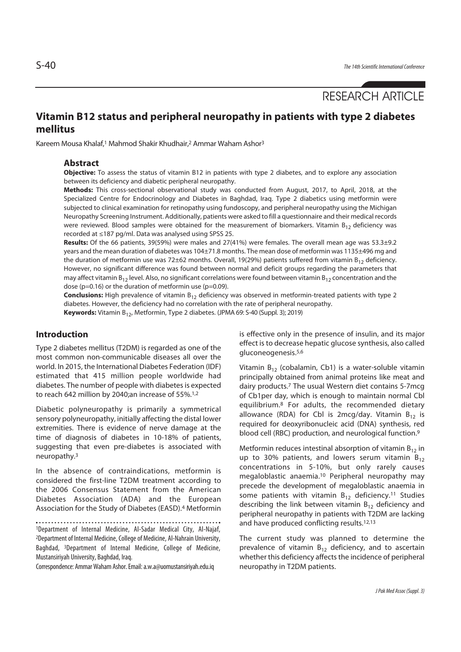# RESEARCH ARTICLE

## **Vitamin B12 status and peripheral neuropathy in patients with type 2 diabetes mellitus**

Kareem Mousa Khalaf,1 Mahmod Shakir Khudhair,2 Ammar Waham Ashor3

#### **Abstract**

**Objective:** To assess the status of vitamin B12 in patients with type 2 diabetes, and to explore any association between its deficiency and diabetic peripheral neuropathy.

**Methods:** This cross-sectional observational study was conducted from August, 2017, to April, 2018, at the Specialized Centre for Endocrinology and Diabetes in Baghdad, Iraq. Type 2 diabetics using metformin were subjected to clinical examination for retinopathy using fundoscopy, and peripheral neuropathy using the Michigan Neuropathy Screening Instrument. Additionally, patients were asked to fill a questionnaire and their medical records were reviewed. Blood samples were obtained for the measurement of biomarkers. Vitamin  $B_{12}$  deficiency was recorded at ≤187 pg/ml. Data was analysed using SPSS 25.

**Results:** Of the 66 patients, 39(59%) were males and 27(41%) were females. The overall mean age was 53.3±9.2 years and the mean duration of diabetes was 104±71.8 months. The mean dose of metformin was 1135±496 mg and the duration of metformin use was 72±62 months. Overall, 19(29%) patients suffered from vitamin  $B_{12}$  deficiency. However, no significant difference was found between normal and deficit groups regarding the parameters that may affect vitamin  $B_{12}$  level. Also, no significant correlations were found between vitamin  $B_{12}$  concentration and the dose ( $p=0.16$ ) or the duration of metformin use ( $p=0.09$ ).

**Conclusions:** High prevalence of vitamin B<sub>12</sub> deficiency was observed in metformin-treated patients with type 2 diabetes. However, the deficiency had no correlation with the rate of peripheral neuropathy.

Keywords: Vitamin B<sub>12</sub>, Metformin, Type 2 diabetes. (JPMA 69: S-40 (Suppl. 3); 2019)

#### **Introduction**

Type 2 diabetes mellitus (T2DM) is regarded as one of the most common non-communicable diseases all over the world. In 2015, the International Diabetes Federation (IDF) estimated that 415 million people worldwide had diabetes. The number of people with diabetes is expected to reach 642 million by 2040;an increase of 55%.1,2

Diabetic polyneuropathy is primarily a symmetrical sensory polyneuropathy, initially affecting the distal lower extremities. There is evidence of nerve damage at the time of diagnosis of diabetes in 10-18% of patients, suggesting that even pre-diabetes is associated with neuropathy.3

In the absence of contraindications, metformin is considered the first-line T2DM treatment according to the 2006 Consensus Statement from the American Diabetes Association (ADA) and the European Association for the Study of Diabetes (EASD).4 Metformin

1Department of Internal Medicine, Al-Sadar Medical City, Al-Najaf, 2Department of Internal Medicine, College of Medicine, Al-Nahrain University, Baghdad, 3Department of Internal Medicine, College of Medicine, Mustansiriyah University, Baghdad, Iraq.

Correspondence: Ammar Waham Ashor. Email: a.w.a@uomustansiriyah.edu.iq

is effective only in the presence of insulin, and its major effect is to decrease hepatic glucose synthesis, also called gluconeogenesis.5,6

Vitamin  $B_{12}$  (cobalamin, Cb1) is a water-soluble vitamin principally obtained from animal proteins like meat and dairy products.7 The usual Western diet contains 5-7mcg of Cb1per day, which is enough to maintain normal Cbl equilibrium.8 For adults, the recommended dietary allowance (RDA) for Cbl is 2mcg/day. Vitamin  $B_{12}$  is required for deoxyribonucleic acid (DNA) synthesis, red blood cell (RBC) production, and neurological function.<sup>9</sup>

Metformin reduces intestinal absorption of vitamin  $B_{12}$  in up to 30% patients, and lowers serum vitamin  $B_{12}$ concentrations in 5-10%, but only rarely causes megaloblastic anaemia.10 Peripheral neuropathy may precede the development of megaloblastic anaemia in some patients with vitamin  $B_{12}$  deficiency.<sup>11</sup> Studies describing the link between vitamin  $B_{12}$  deficiency and peripheral neuropathy in patients with T2DM are lacking and have produced conflicting results.<sup>12,13</sup>

The current study was planned to determine the prevalence of vitamin  $B_{12}$  deficiency, and to ascertain whether this deficiency affects the incidence of peripheral neuropathy in T2DM patients.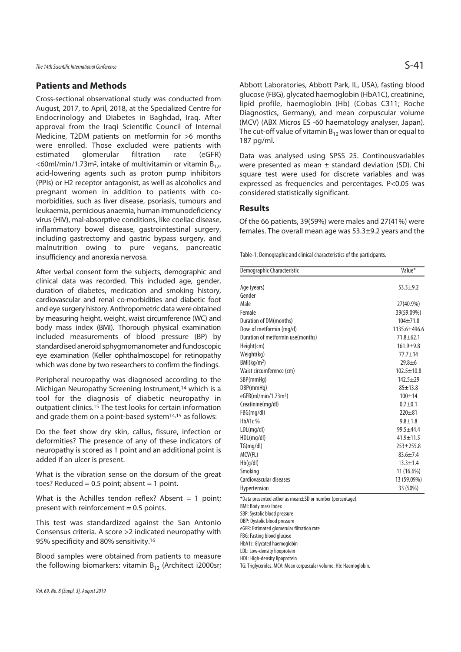### **Patients and Methods**

Cross-sectional observational study was conducted from August, 2017, to April, 2018, at the Specialized Centre for Endocrinology and Diabetes in Baghdad, Iraq. After approval from the Iraqi Scientific Council of Internal Medicine, T2DM patients on metformin for >6 months were enrolled. Those excluded were patients with estimated glomerular filtration rate (eGFR) <60ml/min/1.73m<sup>2</sup>, intake of multivitamin or vitamin  $B_{12}$ , acid-lowering agents such as proton pump inhibitors (PPIs) or H2 receptor antagonist, as well as alcoholics and pregnant women in addition to patients with comorbidities, such as liver disease, psoriasis, tumours and leukaemia, pernicious anaemia, human immunodeficiency virus (HIV), mal-absorptive conditions, like coeliac disease, inflammatory bowel disease, gastrointestinal surgery, including gastrectomy and gastric bypass surgery, and malnutrition owing to pure vegans, pancreatic insufficiency and anorexia nervosa.

After verbal consent form the subjects, demographic and clinical data was recorded. This included age, gender, duration of diabetes, medication and smoking history, cardiovascular and renal co-morbidities and diabetic foot and eye surgery history. Anthropometric data were obtained by measuring height, weight, waist circumference (WC) and body mass index (BMI). Thorough physical examination included measurements of blood pressure (BP) by standardised aneroid sphygmomanometer and fundoscopic eye examination (Keller ophthalmoscope) for retinopathy which was done by two researchers to confirm the findings.

Peripheral neuropathy was diagnosed according to the Michigan Neuropathy Screening Instrument,14 which is a tool for the diagnosis of diabetic neuropathy in outpatient clinics.15 The test looks for certain information and grade them on a point-based system14,15 as follows:

Do the feet show dry skin, callus, fissure, infection or deformities? The presence of any of these indicators of neuropathy is scored as 1 point and an additional point is added if an ulcer is present.

What is the vibration sense on the dorsum of the great toes? Reduced =  $0.5$  point; absent = 1 point.

What is the Achilles tendon reflex? Absent  $= 1$  point; present with reinforcement  $= 0.5$  points.

This test was standardized against the San Antonio Consensus criteria. A score >2 indicated neuropathy with 95% specificity and 80% sensitivity.16

Blood samples were obtained from patients to measure the following biomarkers: vitamin  $B_{12}$  (Architect i2000sr; Abbott Laboratories, Abbott Park, IL, USA), fasting blood glucose (FBG), glycated haemoglobin (HbA1C), creatinine, lipid profile, haemoglobin (Hb) (Cobas C311; Roche Diagnostics, Germany), and mean corpuscular volume (MCV) (ABX Micros ES -60 haematology analyser, Japan). The cut-off value of vitamin  $B_{12}$  was lower than or equal to 187 pg/ml.

Data was analysed using SPSS 25. Continousvariables were presented as mean  $\pm$  standard deviation (SD). Chi square test were used for discrete variables and was expressed as frequencies and percentages. P<0.05 was considered statistically significant.

#### **Results**

Of the 66 patients, 39(59%) were males and 27(41%) were females. The overall mean age was 53.3±9.2 years and the

Table-1: Demographic and clinical characteristics of the participants.

| Demographic Characteristic        | Value*           |
|-----------------------------------|------------------|
|                                   |                  |
| Age (years)                       | $53.3 + 9.2$     |
| Gender                            |                  |
| Male                              | 27(40.9%)        |
| Female                            | 39(59.09%)       |
| Duration of DM(months)            | $104 + 71.8$     |
| Dose of metformin (mq/d)          | $1135.6 + 496.6$ |
| Duration of metformin use(months) | $71.8 + 62.1$    |
| Height(cm)                        | $161.9 + 9.8$    |
| Weight(kg)                        | $77.7 + 14$      |
| BMl(kq/m <sup>2</sup> )           | $29.8 + 6$       |
| Waist circumference (cm)          | $102.5 \pm 10.8$ |
| SBP(mmHq)                         | $142.5 + 29$     |
| DBP(mmHq)                         | $85 + 13.8$      |
| eGFR(ml/min/1.73m <sup>2</sup> )  | $100 + 14$       |
| Creatinine(mg/dl)                 | $0.7 + 0.1$      |
| FBG(mg/dl)                        | $720 + 81$       |
| HbA1c%                            | $9.8 + 1.8$      |
| LDL(mq/dl)                        | $99.5 + 44.4$    |
| HDL(mg/dl)                        | $41.9 + 11.5$    |
| TG(mq/dl)                         | $253 + 255.8$    |
| MCV(FL)                           | $83.6 + 7.4$     |
| Hb(q/dl)                          | $13.3 + 1.4$     |
| Smoking                           | 11 (16.6%)       |
| Cardiovascular diseases           | 13 (59.09%)      |
| Hypertension                      | 33 (50%)         |

\*Data presented either as mean±SD or number (percentage).

BMI: Body mass index

SBP: Systolic blood pressure

DBP: Dystolic blood pressure

eGFR: Estimated glomerular filtration rate

FBG: Fasting blood glucose HbA1c: Glycated haemoglobin

LDL: Low-density lipoprotein

HDL: High-density lipoprotein

TG: Triglycerides. MCV: Mean corpuscular volume. Hb: Haemoglobin.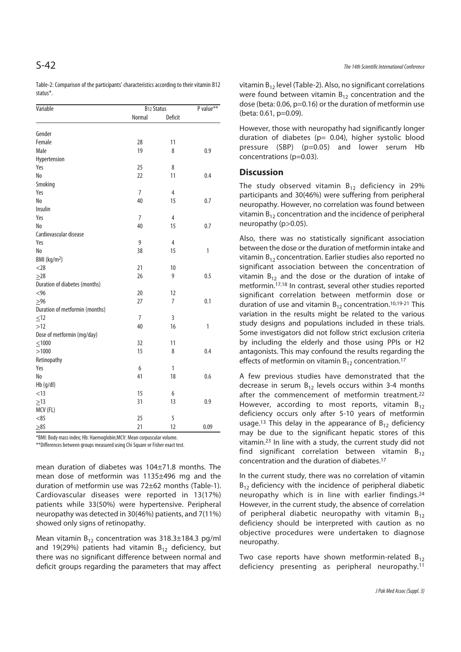Table-2: Comparison of the participants' characteristics according to their vitamin B12 status\*.

| Variable                       | B12 Status     |                  | P value**    |
|--------------------------------|----------------|------------------|--------------|
|                                | Normal         | <b>Deficit</b>   |              |
|                                |                |                  |              |
| Gender                         |                |                  |              |
| Female                         | 28             | 11               |              |
| Male                           | 19             | 8                | 0.9          |
| Hypertension                   |                |                  |              |
| Yes                            | 25             | 8                |              |
| No                             | 22             | 11               | 0.4          |
| Smoking                        |                |                  |              |
| Yes                            | $\overline{7}$ | $\overline{4}$   |              |
| No                             | 40             | 15               | 0.7          |
| Insulin                        |                |                  |              |
| Yes                            | $\overline{7}$ | 4                |              |
| N <sub>0</sub>                 | 40             | 15               | 0.7          |
| Cardiovascular disease         |                |                  |              |
| Yes                            | 9              | 4                |              |
| N <sub>0</sub>                 | 38             | 15               | $\mathbf{1}$ |
| BMI (kg/m <sup>2</sup> )       |                |                  |              |
| $<$ 28                         | 21             | 10               |              |
| $\geq 28$                      | 26             | 9                | 0.5          |
| Duration of diabetes (months)  |                |                  |              |
| <96                            | 20             | 12               |              |
| $>96$                          | 27             | $\boldsymbol{7}$ | 0.1          |
| Duration of metformin (months) |                |                  |              |
| $\leq 12$                      | $\overline{7}$ | $\overline{3}$   |              |
| >12                            | 40             | 16               | 1            |
| Dose of metformin (mg/day)     |                |                  |              |
| ≤1000                          | 32             | 11               |              |
| >1000                          | 15             | 8                | 0.4          |
| Retinopathy                    |                |                  |              |
| Yes                            | 6              | 1                |              |
| No                             | 41             | 18               | 0.6          |
| Hb (g/dl)                      |                |                  |              |
| < 13                           | 15             | 6                |              |
| >13                            | 31             | 13               | 0.9          |
|                                |                |                  |              |
|                                |                |                  |              |
|                                |                |                  |              |
| MCV (FL)<br>< 85<br>$\geq 85$  | 25<br>21       | 5<br>12          | 0.09         |

\*BMI: Body mass index; Hb: Haemoglobin;MCV: Mean corpuscular volume.

\*\*Differences between groups measured using Chi Square or Fisher exact test.

mean duration of diabetes was 104±71.8 months. The mean dose of metformin was 1135±496 mg and the duration of metformin use was 72±62 months (Table-1). Cardiovascular diseases were reported in 13(17%) patients while 33(50%) were hypertensive. Peripheral neuropathy was detected in 30(46%) patients, and 7(11%) showed only signs of retinopathy.

Mean vitamin  $B_{12}$  concentration was 318.3±184.3 pg/ml and 19(29%) patients had vitamin  $B_{12}$  deficiency, but there was no significant difference between normal and deficit groups regarding the parameters that may affect

vitamin  $B_{12}$  level (Table-2). Also, no significant correlations were found between vitamin  $B_{12}$  concentration and the dose (beta: 0.06, p=0.16) or the duration of metformin use (beta: 0.61, p=0.09).

However, those with neuropathy had significantly longer duration of diabetes (p= 0.04), higher systolic blood pressure (SBP) (p=0.05) and lower serum Hb concentrations (p=0.03).

#### **Discussion**

The study observed vitamin  $B_{12}$  deficiency in 29% participants and 30(46%) were suffering from peripheral neuropathy. However, no correlation was found between vitamin  $B_{12}$  concentration and the incidence of peripheral neuropathy (p>0.05).

Also, there was no statistically significant association between the dose or the duration of metformin intake and vitamin  $B_{12}$  concentration. Earlier studies also reported no significant association between the concentration of vitamin  $B_{12}$  and the dose or the duration of intake of metformin.17,18 In contrast, several other studies reported significant correlation between metformin dose or duration of use and vitamin  $B_{12}$  concentration.<sup>10,19-21</sup> This variation in the results might be related to the various study designs and populations included in these trials. Some investigators did not follow strict exclusion criteria by including the elderly and those using PPIs or H2 antagonists. This may confound the results regarding the effects of metformin on vitamin  $B_{12}$  concentration.<sup>17</sup>

A few previous studies have demonstrated that the decrease in serum  $B_{12}$  levels occurs within 3-4 months after the commencement of metformin treatment.22 However, according to most reports, vitamin  $B_{12}$ deficiency occurs only after 5-10 years of metformin usage.<sup>13</sup> This delay in the appearance of  $B_{12}$  deficiency may be due to the significant hepatic stores of this vitamin.23 In line with a study, the current study did not find significant correlation between vitamin  $B_{12}$ concentration and the duration of diabetes.17

In the current study, there was no correlation of vitamin  $B_{12}$  deficiency with the incidence of peripheral diabetic neuropathy which is in line with earlier findings.24 However, in the current study, the absence of correlation of peripheral diabetic neuropathy with vitamin  $B_{12}$ deficiency should be interpreted with caution as no objective procedures were undertaken to diagnose neuropathy.

Two case reports have shown metformin-related  $B_{12}$ deficiency presenting as peripheral neuropathy.<sup>11</sup>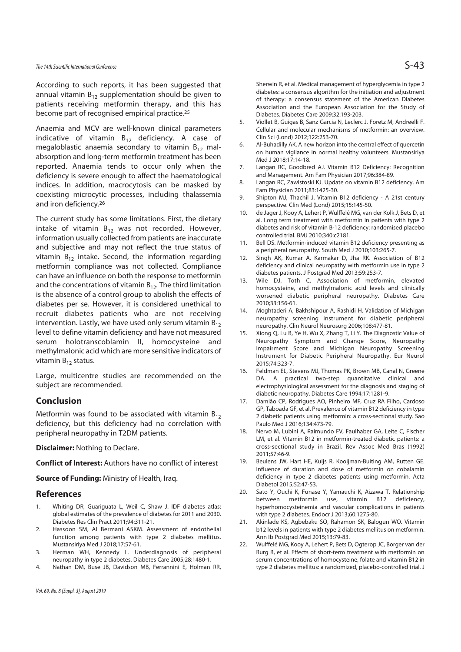According to such reports, it has been suggested that annual vitamin  $B_{12}$  supplementation should be given to patients receiving metformin therapy, and this has become part of recognised empirical practice.25

Anaemia and MCV are well-known clinical parameters indicative of vitamin  $B_{12}$  deficiency. A case of megaloblastic anaemia secondary to vitamin  $B_{12}$  malabsorption and long-term metformin treatment has been reported. Anaemia tends to occur only when the deficiency is severe enough to affect the haematological indices. In addition, macrocytosis can be masked by coexisting microcytic processes, including thalassemia and iron deficiency.26

The current study has some limitations. First, the dietary intake of vitamin  $B_{12}$  was not recorded. However, information usually collected from patients are inaccurate and subjective and may not reflect the true status of vitamin  $B_{12}$  intake. Second, the information regarding metformin compliance was not collected. Compliance can have an influence on both the response to metformin and the concentrations of vitamin  $B_{12}$ . The third limitation is the absence of a control group to abolish the effects of diabetes per se. However, it is considered unethical to recruit diabetes patients who are not receiving intervention. Lastly, we have used only serum vitamin  $B_{12}$ level to define vitamin deficiency and have not measured serum holotranscoblamin II, homocysteine and methylmalonic acid which are more sensitive indicators of vitamin  $B_{12}$  status.

Large, multicentre studies are recommended on the subject are recommended.

#### **Conclusion**

Metformin was found to be associated with vitamin  $B_{12}$ deficiency, but this deficiency had no correlation with peripheral neuropathy in T2DM patients.

**Disclaimer:** Nothing to Declare.

**Conflict of Interest:** Authors have no conflict of interest

**Source of Funding:** Ministry of Health, Iraq.

#### **References**

- 1. Whiting DR, Guariguata L, Weil C, Shaw J. IDF diabetes atlas: global estimates of the prevalence of diabetes for 2011 and 2030. Diabetes Res Clin Pract 2011;94:311-21.
- 2. Hassoon SM, Al Bermani ASKM. Assessment of endothelial function among patients with type 2 diabetes mellitus. Mustansiriya Med J 2018;17:57-61.
- 3. Herman WH, Kennedy L. Underdiagnosis of peripheral neuropathy in type 2 diabetes. Diabetes Care 2005;28:1480-1.
- 4. Nathan DM, Buse JB, Davidson MB, Ferrannini E, Holman RR,

Sherwin R, et al. Medical management of hyperglycemia in type 2 diabetes: a consensus algorithm for the initiation and adjustment of therapy: a consensus statement of the American Diabetes Association and the European Association for the Study of Diabetes. Diabetes Care 2009;32:193-203.

- 5. Viollet B, Guigas B, Sanz Garcia N, Leclerc J, Foretz M, Andreelli F. Cellular and molecular mechanisms of metformin: an overview. Clin Sci (Lond) 2012;122:253-70.
- 6. Al-Buhadilly AK. A new horizon into the central effect of quercetin on human vigilance in normal healthy volunteers. Mustansiriya Med J 2018;17:14-18.
- 7. Langan RC, Goodbred AJ. Vitamin B12 Deficiency: Recognition and Management. Am Fam Physician 2017;96:384-89.
- 8. Langan RC, Zawistoski KJ. Update on vitamin B12 deficiency. Am Fam Physician 2011;83:1425-30.
- 9. Shipton MJ, Thachil J. Vitamin B12 deficiency A 21st century perspective. Clin Med (Lond) 2015;15:145-50.
- 10. de Jager J, Kooy A, Lehert P, Wulffelé MG, van der Kolk J, Bets D, et al. Long term treatment with metformin in patients with type 2 diabetes and risk of vitamin B-12 deficiency: randomised placebo controlled trial. BMJ 2010;340:c2181.
- 11. Bell DS. Metformin-induced vitamin B12 deficiency presenting as a peripheral neuropathy. South Med J 2010;103:265-7.
- 12. Singh AK, Kumar A, Karmakar D, Jha RK. Association of B12 deficiency and clinical neuropathy with metformin use in type 2 diabetes patients. J Postgrad Med 2013;59:253-7.
- 13. Wile DJ, Toth C. Association of metformin, elevated homocysteine, and methylmalonic acid levels and clinically worsened diabetic peripheral neuropathy. Diabetes Care 2010;33:156-61.
- 14. Moghtaderi A, Bakhshipour A, Rashidi H. Validation of Michigan neuropathy screening instrument for diabetic peripheral neuropathy. Clin Neurol Neurosurg 2006;108:477-81.
- 15. Xiong Q, Lu B, Ye H, Wu X, Zhang T, Li Y. The Diagnostic Value of Neuropathy Symptom and Change Score, Neuropathy Impairment Score and Michigan Neuropathy Screening Instrument for Diabetic Peripheral Neuropathy. Eur Neurol 2015;74:323-7.
- 16. Feldman EL, Stevens MJ, Thomas PK, Brown MB, Canal N, Greene DA. A practical two-step quantitative clinical and electrophysiological assessment for the diagnosis and staging of diabetic neuropathy. Diabetes Care 1994;17:1281-9.
- 17. Damião CP, Rodrigues AO, Pinheiro MF, Cruz RA Filho, Cardoso GP, Taboada GF, et al. Prevalence of vitamin B12 deficiency in type 2 diabetic patients using metformin: a cross-sectional study. Sao Paulo Med J 2016;134:473-79.
- 18. Nervo M, Lubini A, Raimundo FV, Faulhaber GA, Leite C, Fischer LM, et al. Vitamin B12 in metformin-treated diabetic patients: a cross-sectional study in Brazil. Rev Assoc Med Bras (1992) 2011;57:46-9.
- 19. Beulens JW, Hart HE, Kuijs R, Kooijman-Buiting AM, Rutten GE. Influence of duration and dose of metformin on cobalamin deficiency in type 2 diabetes patients using metformin. Acta Diabetol 2015;52:47-53.
- 20. Sato Y, Ouchi K, Funase Y, Yamauchi K, Aizawa T. Relationship between metformin use, vitamin B12 deficiency, hyperhomocysteinemia and vascular complications in patients with type 2 diabetes. Endocr J 2013;60:1275-80.
- 21. Akinlade KS, Agbebaku SO, Rahamon SK, Balogun WO. Vitamin b12 levels in patients with type 2 diabetes mellitus on metformin. Ann Ib Postgrad Med 2015;13:79-83.
- 22. Wulffelé MG, Kooy A, Lehert P, Bets D, Ogterop JC, Borger van der Burg B, et al. Effects of short-term treatment with metformin on serum concentrations of homocysteine, folate and vitamin B12 in type 2 diabetes mellitus: a randomized, placebo-controlled trial. J